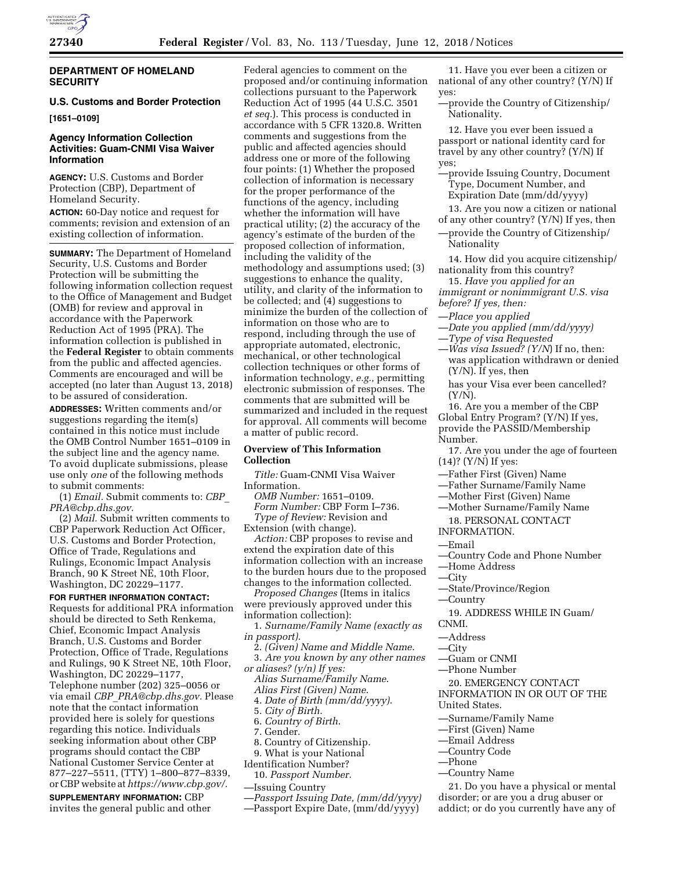

### **DEPARTMENT OF HOMELAND SECURITY**

# **U.S. Customs and Border Protection**

**[1651–0109]** 

## **Agency Information Collection Activities: Guam-CNMI Visa Waiver Information**

**AGENCY:** U.S. Customs and Border Protection (CBP), Department of Homeland Security.

**ACTION:** 60-Day notice and request for comments; revision and extension of an existing collection of information.

**SUMMARY:** The Department of Homeland Security, U.S. Customs and Border Protection will be submitting the following information collection request to the Office of Management and Budget (OMB) for review and approval in accordance with the Paperwork Reduction Act of 1995 (PRA). The information collection is published in the **Federal Register** to obtain comments from the public and affected agencies. Comments are encouraged and will be accepted (no later than August 13, 2018) to be assured of consideration.

**ADDRESSES:** Written comments and/or suggestions regarding the item(s) contained in this notice must include the OMB Control Number 1651–0109 in the subject line and the agency name. To avoid duplicate submissions, please use only *one* of the following methods to submit comments:

(1) *Email.* Submit comments to: *[CBP](mailto:CBP_PRA@cbp.dhs.gov)*\_ *[PRA@cbp.dhs.gov.](mailto:CBP_PRA@cbp.dhs.gov)* 

(2) *Mail.* Submit written comments to CBP Paperwork Reduction Act Officer, U.S. Customs and Border Protection, Office of Trade, Regulations and Rulings, Economic Impact Analysis Branch, 90 K Street NE, 10th Floor, Washington, DC 20229–1177.

**FOR FURTHER INFORMATION CONTACT:**  Requests for additional PRA information should be directed to Seth Renkema, Chief, Economic Impact Analysis Branch, U.S. Customs and Border Protection, Office of Trade, Regulations and Rulings, 90 K Street NE, 10th Floor, Washington, DC 20229–1177, Telephone number (202) 325–0056 or via email *CBP*\_*[PRA@cbp.dhs.gov.](mailto:CBP_PRA@cbp.dhs.gov)* Please note that the contact information provided here is solely for questions regarding this notice. Individuals seeking information about other CBP programs should contact the CBP National Customer Service Center at 877–227–5511, (TTY) 1–800–877–8339, or CBP website at *[https://www.cbp.gov/.](https://www.cbp.gov/)* 

**SUPPLEMENTARY INFORMATION:** CBP invites the general public and other

Federal agencies to comment on the proposed and/or continuing information collections pursuant to the Paperwork Reduction Act of 1995 (44 U.S.C. 3501 *et seq.*). This process is conducted in accordance with 5 CFR 1320.8. Written comments and suggestions from the public and affected agencies should address one or more of the following four points: (1) Whether the proposed collection of information is necessary for the proper performance of the functions of the agency, including whether the information will have practical utility; (2) the accuracy of the agency's estimate of the burden of the proposed collection of information, including the validity of the methodology and assumptions used; (3) suggestions to enhance the quality, utility, and clarity of the information to be collected; and (4) suggestions to minimize the burden of the collection of information on those who are to respond, including through the use of appropriate automated, electronic, mechanical, or other technological collection techniques or other forms of information technology, *e.g.,* permitting electronic submission of responses. The comments that are submitted will be summarized and included in the request for approval. All comments will become a matter of public record.

### **Overview of This Information Collection**

*Title:* Guam-CNMI Visa Waiver Information.

*OMB Number:* 1651–0109. *Form Number:* CBP Form I–736. *Type of Review:* Revision and

Extension (with change).

*Action:* CBP proposes to revise and extend the expiration date of this information collection with an increase to the burden hours due to the proposed changes to the information collected.

*Proposed Changes* (Items in italics were previously approved under this information collection):

1. *Surname/Family Name (exactly as in passport)*.

2. *(Given) Name and Middle Name*. 3. *Are you known by any other names* 

*or aliases? (y/n) If yes:* 

*Alias Surname/Family Name*.

*Alias First (Given) Name*.

4. *Date of Birth (mm/dd/yyyy)*.

- 5. *City of Birth*.
- 6. *Country of Birth*.
- 7. Gender.

8. Country of Citizenship.

9. What is your National

Identification Number?

10. *Passport Number.* 

- —Issuing Country
- —*Passport Issuing Date, (mm/dd/yyyy)*
- —Passport Expire Date, (mm/dd/yyyy)

11. Have you ever been a citizen or national of any other country? (Y/N) If yes:

—provide the Country of Citizenship/ Nationality.

12. Have you ever been issued a passport or national identity card for travel by any other country? (Y/N) If yes;

- —provide Issuing Country, Document Type, Document Number, and Expiration Date (mm/dd/yyyy)
- 13. Are you now a citizen or national of any other country? (Y/N) If yes, then
- —provide the Country of Citizenship/ Nationality

14. How did you acquire citizenship/ nationality from this country?

15. *Have you applied for an immigrant or nonimmigrant U.S. visa before? If yes, then:* 

- —*Place you applied*
- —*Date you applied (mm/dd/yyyy)*
- —*Type of visa Requested*
- —*Was visa Issued? (Y/N*) If no, then: was application withdrawn or denied (Y/N). If yes, then
	- has your Visa ever been cancelled? (Y/N).

16. Are you a member of the CBP Global Entry Program? (Y/N) If yes, provide the PASSID/Membership Number.

- 17. Are you under the age of fourteen (14)? (Y/N) If yes:
- —Father First (Given) Name
- —Father Surname/Family Name
- —Mother First (Given) Name
- —Mother Surname/Family Name
- 18. PERSONAL CONTACT
- INFORMATION.
- —Email
- —Country Code and Phone Number
- —Home Address
- —City
- —State/Province/Region
- —Country

19. ADDRESS WHILE IN Guam/ CNMI.

- —Address
- —City
- —Guam or CNMI
- —Phone Number
- 20. EMERGENCY CONTACT

INFORMATION IN OR OUT OF THE United States.

- —Surname/Family Name
- —First (Given) Name
- —Email Address
- —Country Code
- —Phone
- —Country Name

21. Do you have a physical or mental disorder; or are you a drug abuser or addict; or do you currently have any of